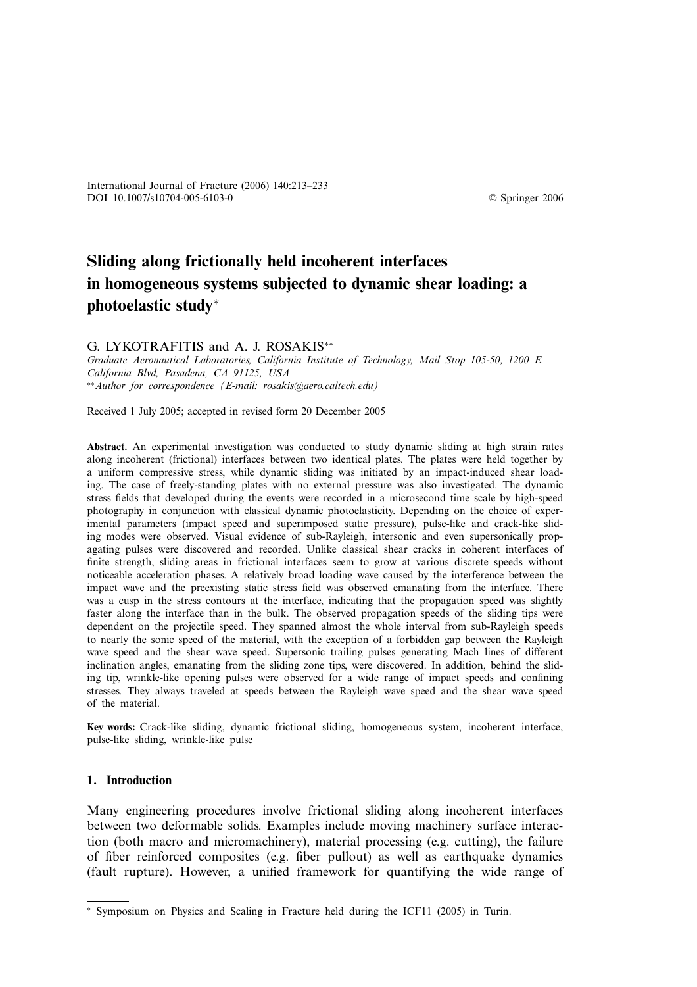© Springer 2006

# **Sliding along frictionally held incoherent interfaces in homogeneous systems subjected to dynamic shear loading: a photoelastic study**<sup>∗</sup>

G. LYKOTRAFITIS and A. J. ROSAKIS∗∗

*Graduate Aeronautical Laboratories, California Institute of Technology, Mail Stop 105-50, 1200 E. California Blvd, Pasadena, CA 91125, USA* ∗∗*Author for correspondence (E-mail: rosakis@aero.caltech.edu)*

Received 1 July 2005; accepted in revised form 20 December 2005

**Abstract.** An experimental investigation was conducted to study dynamic sliding at high strain rates along incoherent (frictional) interfaces between two identical plates. The plates were held together by a uniform compressive stress, while dynamic sliding was initiated by an impact-induced shear loading. The case of freely-standing plates with no external pressure was also investigated. The dynamic stress fields that developed during the events were recorded in a microsecond time scale by high-speed photography in conjunction with classical dynamic photoelasticity. Depending on the choice of experimental parameters (impact speed and superimposed static pressure), pulse-like and crack-like sliding modes were observed. Visual evidence of sub-Rayleigh, intersonic and even supersonically propagating pulses were discovered and recorded. Unlike classical shear cracks in coherent interfaces of finite strength, sliding areas in frictional interfaces seem to grow at various discrete speeds without noticeable acceleration phases. A relatively broad loading wave caused by the interference between the impact wave and the preexisting static stress field was observed emanating from the interface. There was a cusp in the stress contours at the interface, indicating that the propagation speed was slightly faster along the interface than in the bulk. The observed propagation speeds of the sliding tips were dependent on the projectile speed. They spanned almost the whole interval from sub-Rayleigh speeds to nearly the sonic speed of the material, with the exception of a forbidden gap between the Rayleigh wave speed and the shear wave speed. Supersonic trailing pulses generating Mach lines of different inclination angles, emanating from the sliding zone tips, were discovered. In addition, behind the sliding tip, wrinkle-like opening pulses were observed for a wide range of impact speeds and confining stresses. They always traveled at speeds between the Rayleigh wave speed and the shear wave speed of the material.

**Key words:** Crack-like sliding, dynamic frictional sliding, homogeneous system, incoherent interface, pulse-like sliding, wrinkle-like pulse

# **1. Introduction**

Many engineering procedures involve frictional sliding along incoherent interfaces between two deformable solids. Examples include moving machinery surface interaction (both macro and micromachinery), material processing (e.g. cutting), the failure of fiber reinforced composites (e.g. fiber pullout) as well as earthquake dynamics (fault rupture). However, a unified framework for quantifying the wide range of

<sup>∗</sup> Symposium on Physics and Scaling in Fracture held during the ICF11 (2005) in Turin.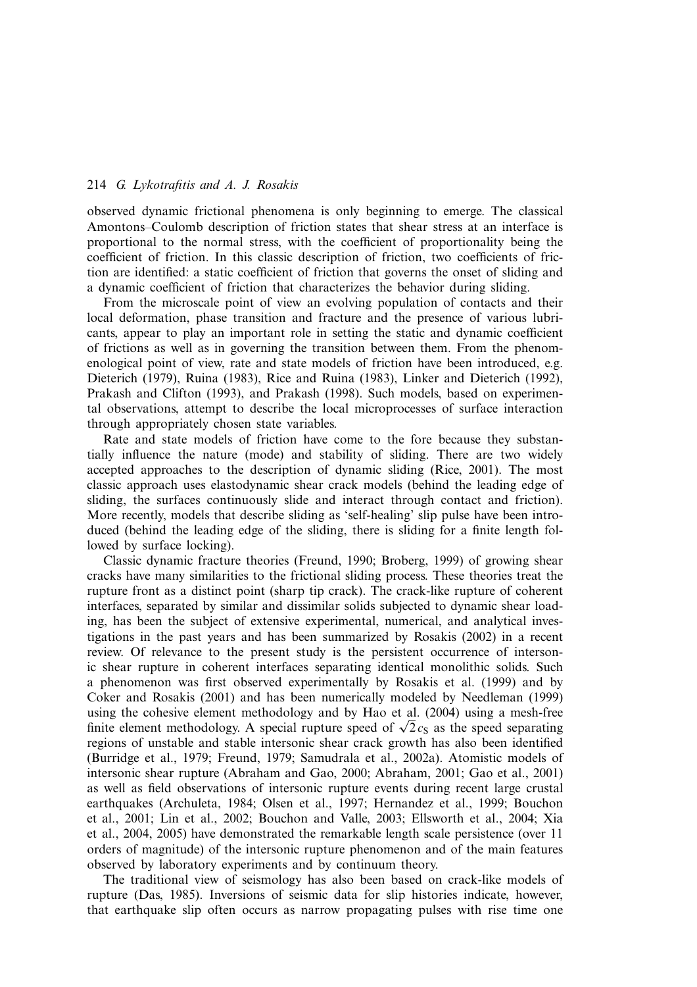observed dynamic frictional phenomena is only beginning to emerge. The classical Amontons–Coulomb description of friction states that shear stress at an interface is proportional to the normal stress, with the coefficient of proportionality being the coefficient of friction. In this classic description of friction, two coefficients of friction are identified: a static coefficient of friction that governs the onset of sliding and a dynamic coefficient of friction that characterizes the behavior during sliding.

From the microscale point of view an evolving population of contacts and their local deformation, phase transition and fracture and the presence of various lubricants, appear to play an important role in setting the static and dynamic coefficient of frictions as well as in governing the transition between them. From the phenomenological point of view, rate and state models of friction have been introduced, e.g. Dieterich (1979), Ruina (1983), Rice and Ruina (1983), Linker and Dieterich (1992), Prakash and Clifton (1993), and Prakash (1998). Such models, based on experimental observations, attempt to describe the local microprocesses of surface interaction through appropriately chosen state variables.

Rate and state models of friction have come to the fore because they substantially influence the nature (mode) and stability of sliding. There are two widely accepted approaches to the description of dynamic sliding (Rice, 2001). The most classic approach uses elastodynamic shear crack models (behind the leading edge of sliding, the surfaces continuously slide and interact through contact and friction). More recently, models that describe sliding as 'self-healing' slip pulse have been introduced (behind the leading edge of the sliding, there is sliding for a finite length followed by surface locking).

Classic dynamic fracture theories (Freund, 1990; Broberg, 1999) of growing shear cracks have many similarities to the frictional sliding process. These theories treat the rupture front as a distinct point (sharp tip crack). The crack-like rupture of coherent interfaces, separated by similar and dissimilar solids subjected to dynamic shear loading, has been the subject of extensive experimental, numerical, and analytical investigations in the past years and has been summarized by Rosakis (2002) in a recent review. Of relevance to the present study is the persistent occurrence of intersonic shear rupture in coherent interfaces separating identical monolithic solids. Such a phenomenon was first observed experimentally by Rosakis et al. (1999) and by Coker and Rosakis (2001) and has been numerically modeled by Needleman (1999) using the cohesive element methodology and by Hao et al. (2004) using a mesh-free finite element methodology. A special rupture speed of  $\sqrt{2}c_s$  as the speed separating regions of unstable and stable intersonic shear crack growth has also been identified (Burridge et al., 1979; Freund, 1979; Samudrala et al., 2002a). Atomistic models of intersonic shear rupture (Abraham and Gao, 2000; Abraham, 2001; Gao et al., 2001) as well as field observations of intersonic rupture events during recent large crustal earthquakes (Archuleta, 1984; Olsen et al., 1997; Hernandez et al., 1999; Bouchon et al., 2001; Lin et al., 2002; Bouchon and Valle, 2003; Ellsworth et al., 2004; Xia et al., 2004, 2005) have demonstrated the remarkable length scale persistence (over 11 orders of magnitude) of the intersonic rupture phenomenon and of the main features observed by laboratory experiments and by continuum theory.

The traditional view of seismology has also been based on crack-like models of rupture (Das, 1985). Inversions of seismic data for slip histories indicate, however, that earthquake slip often occurs as narrow propagating pulses with rise time one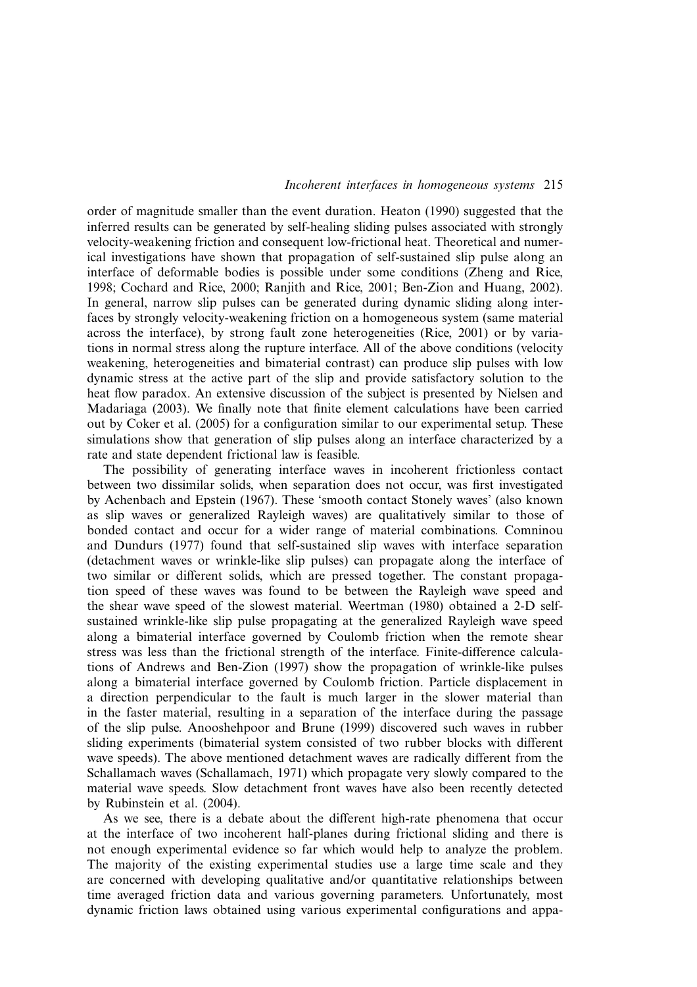order of magnitude smaller than the event duration. Heaton (1990) suggested that the inferred results can be generated by self-healing sliding pulses associated with strongly velocity-weakening friction and consequent low-frictional heat. Theoretical and numerical investigations have shown that propagation of self-sustained slip pulse along an interface of deformable bodies is possible under some conditions (Zheng and Rice, 1998; Cochard and Rice, 2000; Ranjith and Rice, 2001; Ben-Zion and Huang, 2002). In general, narrow slip pulses can be generated during dynamic sliding along interfaces by strongly velocity-weakening friction on a homogeneous system (same material across the interface), by strong fault zone heterogeneities (Rice, 2001) or by variations in normal stress along the rupture interface. All of the above conditions (velocity weakening, heterogeneities and bimaterial contrast) can produce slip pulses with low dynamic stress at the active part of the slip and provide satisfactory solution to the heat flow paradox. An extensive discussion of the subject is presented by Nielsen and Madariaga (2003). We finally note that finite element calculations have been carried out by Coker et al. (2005) for a configuration similar to our experimental setup. These simulations show that generation of slip pulses along an interface characterized by a rate and state dependent frictional law is feasible.

The possibility of generating interface waves in incoherent frictionless contact between two dissimilar solids, when separation does not occur, was first investigated by Achenbach and Epstein (1967). These 'smooth contact Stonely waves' (also known as slip waves or generalized Rayleigh waves) are qualitatively similar to those of bonded contact and occur for a wider range of material combinations. Comninou and Dundurs (1977) found that self-sustained slip waves with interface separation (detachment waves or wrinkle-like slip pulses) can propagate along the interface of two similar or different solids, which are pressed together. The constant propagation speed of these waves was found to be between the Rayleigh wave speed and the shear wave speed of the slowest material. Weertman (1980) obtained a 2-D selfsustained wrinkle-like slip pulse propagating at the generalized Rayleigh wave speed along a bimaterial interface governed by Coulomb friction when the remote shear stress was less than the frictional strength of the interface. Finite-difference calculations of Andrews and Ben-Zion (1997) show the propagation of wrinkle-like pulses along a bimaterial interface governed by Coulomb friction. Particle displacement in a direction perpendicular to the fault is much larger in the slower material than in the faster material, resulting in a separation of the interface during the passage of the slip pulse. Anooshehpoor and Brune (1999) discovered such waves in rubber sliding experiments (bimaterial system consisted of two rubber blocks with different wave speeds). The above mentioned detachment waves are radically different from the Schallamach waves (Schallamach, 1971) which propagate very slowly compared to the material wave speeds. Slow detachment front waves have also been recently detected by Rubinstein et al. (2004).

As we see, there is a debate about the different high-rate phenomena that occur at the interface of two incoherent half-planes during frictional sliding and there is not enough experimental evidence so far which would help to analyze the problem. The majority of the existing experimental studies use a large time scale and they are concerned with developing qualitative and/or quantitative relationships between time averaged friction data and various governing parameters. Unfortunately, most dynamic friction laws obtained using various experimental configurations and appa-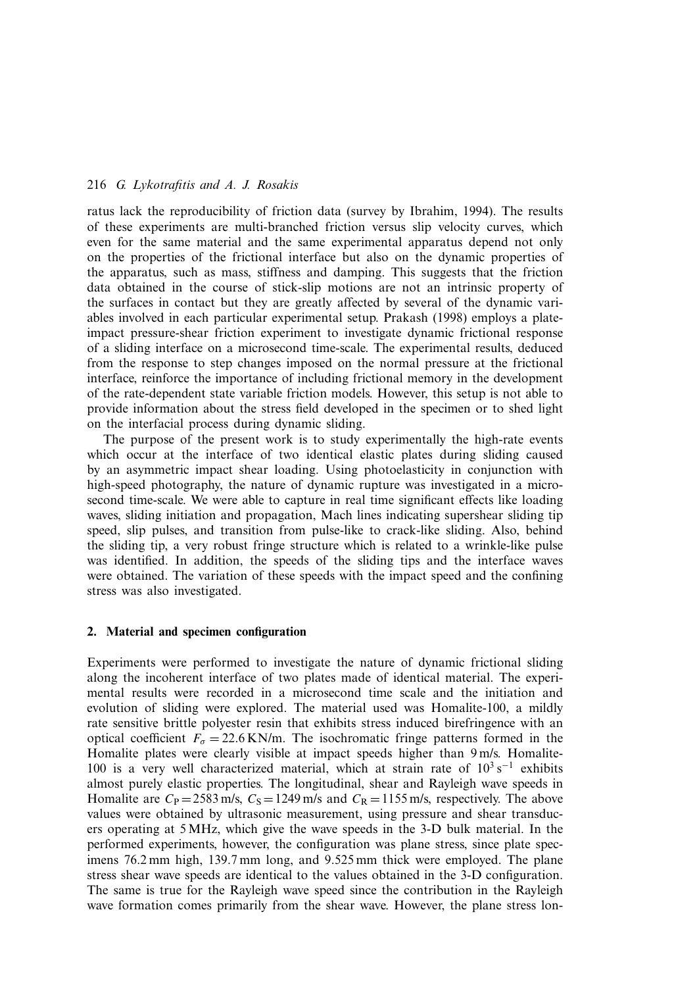ratus lack the reproducibility of friction data (survey by Ibrahim, 1994). The results of these experiments are multi-branched friction versus slip velocity curves, which even for the same material and the same experimental apparatus depend not only on the properties of the frictional interface but also on the dynamic properties of the apparatus, such as mass, stiffness and damping. This suggests that the friction data obtained in the course of stick-slip motions are not an intrinsic property of the surfaces in contact but they are greatly affected by several of the dynamic variables involved in each particular experimental setup. Prakash (1998) employs a plateimpact pressure-shear friction experiment to investigate dynamic frictional response of a sliding interface on a microsecond time-scale. The experimental results, deduced from the response to step changes imposed on the normal pressure at the frictional interface, reinforce the importance of including frictional memory in the development of the rate-dependent state variable friction models. However, this setup is not able to provide information about the stress field developed in the specimen or to shed light on the interfacial process during dynamic sliding.

The purpose of the present work is to study experimentally the high-rate events which occur at the interface of two identical elastic plates during sliding caused by an asymmetric impact shear loading. Using photoelasticity in conjunction with high-speed photography, the nature of dynamic rupture was investigated in a microsecond time-scale. We were able to capture in real time significant effects like loading waves, sliding initiation and propagation, Mach lines indicating supershear sliding tip speed, slip pulses, and transition from pulse-like to crack-like sliding. Also, behind the sliding tip, a very robust fringe structure which is related to a wrinkle-like pulse was identified. In addition, the speeds of the sliding tips and the interface waves were obtained. The variation of these speeds with the impact speed and the confining stress was also investigated.

## **2. Material and specimen configuration**

Experiments were performed to investigate the nature of dynamic frictional sliding along the incoherent interface of two plates made of identical material. The experimental results were recorded in a microsecond time scale and the initiation and evolution of sliding were explored. The material used was Homalite-100, a mildly rate sensitive brittle polyester resin that exhibits stress induced birefringence with an optical coefficient  $F_{\sigma} = 22.6 \text{ KN/m}$ . The isochromatic fringe patterns formed in the Homalite plates were clearly visible at impact speeds higher than 9 m/s. Homalite-100 is a very well characterized material, which at strain rate of  $10^3$  s<sup>-1</sup> exhibits almost purely elastic properties. The longitudinal, shear and Rayleigh wave speeds in Homalite are  $C_P = 2583$  m/s,  $C_S = 1249$  m/s and  $C_R = 1155$  m/s, respectively. The above values were obtained by ultrasonic measurement, using pressure and shear transducers operating at 5 MHz, which give the wave speeds in the 3-D bulk material. In the performed experiments, however, the configuration was plane stress, since plate specimens 76.2 mm high, 139.7 mm long, and 9.525 mm thick were employed. The plane stress shear wave speeds are identical to the values obtained in the 3-D configuration. The same is true for the Rayleigh wave speed since the contribution in the Rayleigh wave formation comes primarily from the shear wave. However, the plane stress lon-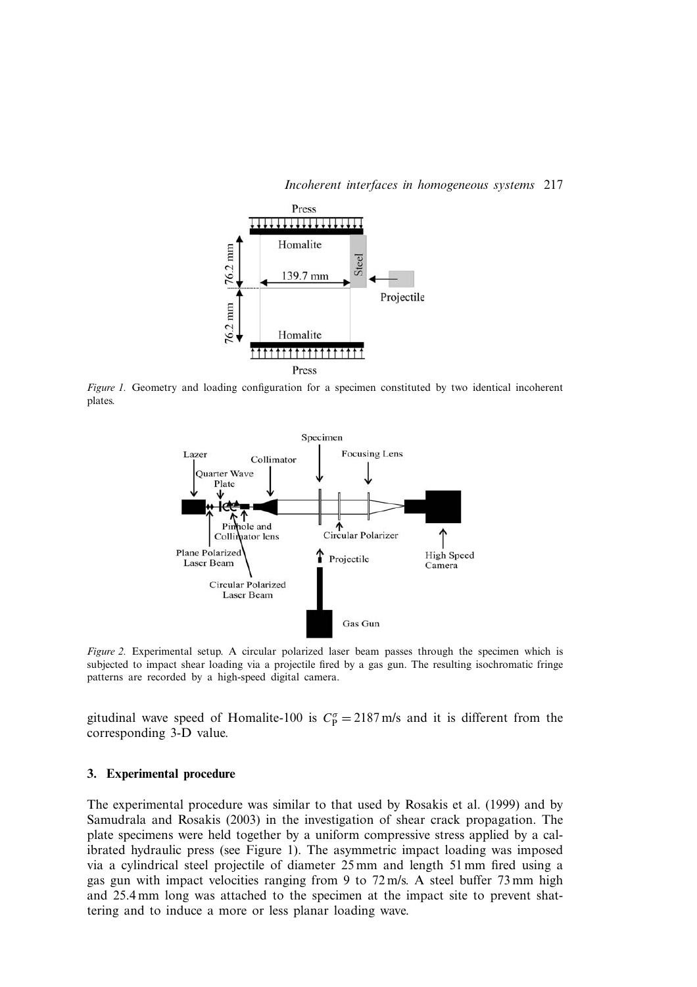

*Figure 1.* Geometry and loading configuration for a specimen constituted by two identical incoherent plates.



*Figure 2.* Experimental setup. A circular polarized laser beam passes through the specimen which is subjected to impact shear loading via a projectile fired by a gas gun. The resulting isochromatic fringe patterns are recorded by a high-speed digital camera.

gitudinal wave speed of Homalite-100 is  $C_p^{\sigma} = 2187 \text{ m/s}$  and it is different from the corresponding 3-D value.

#### **3. Experimental procedure**

The experimental procedure was similar to that used by Rosakis et al. (1999) and by Samudrala and Rosakis (2003) in the investigation of shear crack propagation. The plate specimens were held together by a uniform compressive stress applied by a calibrated hydraulic press (see Figure 1). The asymmetric impact loading was imposed via a cylindrical steel projectile of diameter 25 mm and length 51 mm fired using a gas gun with impact velocities ranging from 9 to 72 m/s. A steel buffer 73 mm high and 25.4 mm long was attached to the specimen at the impact site to prevent shattering and to induce a more or less planar loading wave.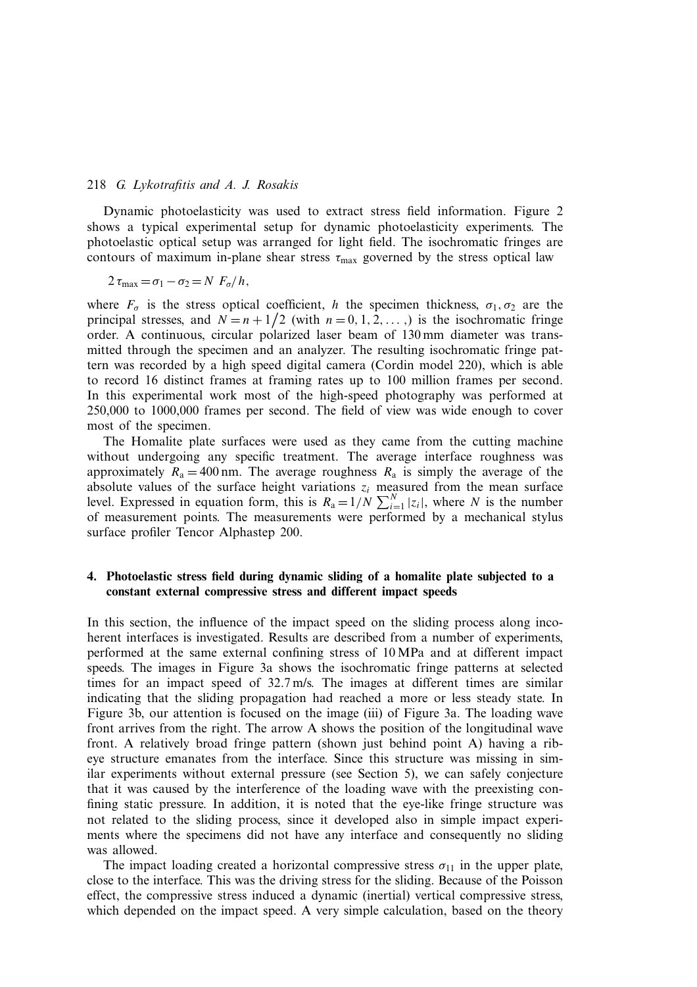Dynamic photoelasticity was used to extract stress field information. Figure 2 shows a typical experimental setup for dynamic photoelasticity experiments. The photoelastic optical setup was arranged for light field. The isochromatic fringes are contours of maximum in-plane shear stress  $\tau_{\text{max}}$  governed by the stress optical law

$$
2\,\tau_{\max}=\sigma_1-\sigma_2=N\,F_{\sigma}/h,
$$

where  $F_{\sigma}$  is the stress optical coefficient, h the specimen thickness,  $\sigma_1, \sigma_2$  are the principal stresses, and  $N = n + 1/2$  (with  $n = 0, 1, 2, ...$ ) is the isochromatic fringe order. A continuous, circular polarized laser beam of 130 mm diameter was transmitted through the specimen and an analyzer. The resulting isochromatic fringe pattern was recorded by a high speed digital camera (Cordin model 220), which is able to record 16 distinct frames at framing rates up to 100 million frames per second. In this experimental work most of the high-speed photography was performed at 250,000 to 1000,000 frames per second. The field of view was wide enough to cover most of the specimen.

The Homalite plate surfaces were used as they came from the cutting machine without undergoing any specific treatment. The average interface roughness was approximately  $R_a = 400$  nm. The average roughness  $R_a$  is simply the average of the absolute values of the surface height variations  $z_i$  measured from the mean surface level. Expressed in equation form, this is  $R_a = 1/N \sum_{i=1}^{N} |z_i|$ , where N is the number of measurement points. The measurements were performed by a mechanical stylus surface profiler Tencor Alphastep 200.

# **4. Photoelastic stress field during dynamic sliding of a homalite plate subjected to a constant external compressive stress and different impact speeds**

In this section, the influence of the impact speed on the sliding process along incoherent interfaces is investigated. Results are described from a number of experiments, performed at the same external confining stress of 10 MPa and at different impact speeds. The images in Figure 3a shows the isochromatic fringe patterns at selected times for an impact speed of 32.7 m/s. The images at different times are similar indicating that the sliding propagation had reached a more or less steady state. In Figure 3b, our attention is focused on the image (iii) of Figure 3a. The loading wave front arrives from the right. The arrow A shows the position of the longitudinal wave front. A relatively broad fringe pattern (shown just behind point A) having a ribeye structure emanates from the interface. Since this structure was missing in similar experiments without external pressure (see Section 5), we can safely conjecture that it was caused by the interference of the loading wave with the preexisting confining static pressure. In addition, it is noted that the eye-like fringe structure was not related to the sliding process, since it developed also in simple impact experiments where the specimens did not have any interface and consequently no sliding was allowed.

The impact loading created a horizontal compressive stress  $\sigma_{11}$  in the upper plate, close to the interface. This was the driving stress for the sliding. Because of the Poisson effect, the compressive stress induced a dynamic (inertial) vertical compressive stress, which depended on the impact speed. A very simple calculation, based on the theory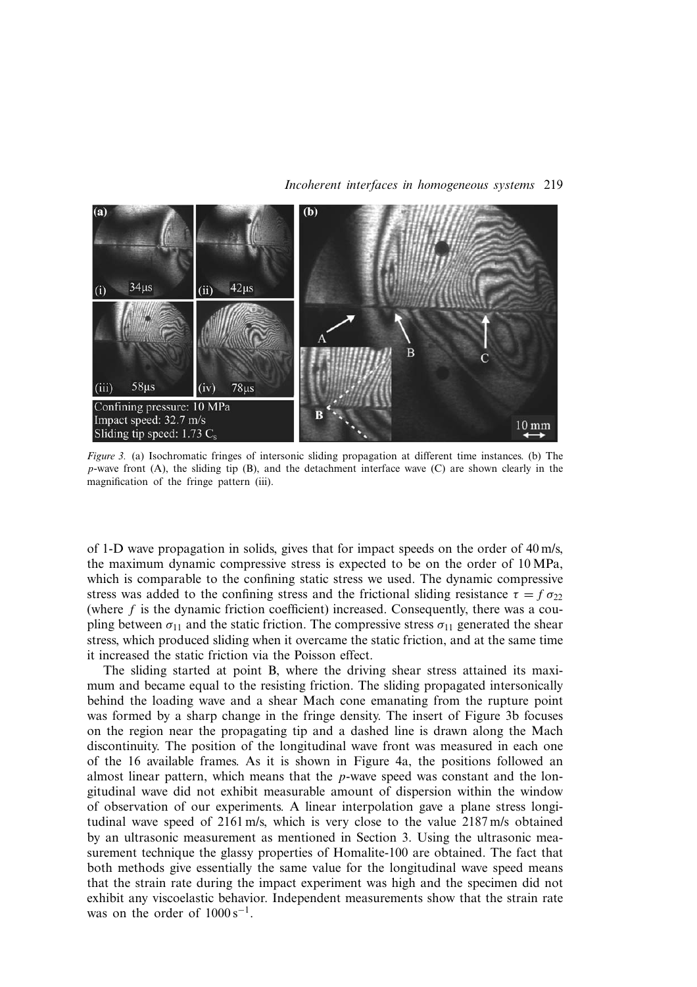

*Figure 3.* (a) Isochromatic fringes of intersonic sliding propagation at different time instances. (b) The  $p$ -wave front (A), the sliding tip (B), and the detachment interface wave (C) are shown clearly in the magnification of the fringe pattern (iii).

of 1-D wave propagation in solids, gives that for impact speeds on the order of 40 m/s, the maximum dynamic compressive stress is expected to be on the order of 10 MPa, which is comparable to the confining static stress we used. The dynamic compressive stress was added to the confining stress and the frictional sliding resistance  $\tau = f \sigma_{22}$ (where  $f$  is the dynamic friction coefficient) increased. Consequently, there was a coupling between  $\sigma_{11}$  and the static friction. The compressive stress  $\sigma_{11}$  generated the shear stress, which produced sliding when it overcame the static friction, and at the same time it increased the static friction via the Poisson effect.

The sliding started at point B, where the driving shear stress attained its maximum and became equal to the resisting friction. The sliding propagated intersonically behind the loading wave and a shear Mach cone emanating from the rupture point was formed by a sharp change in the fringe density. The insert of Figure 3b focuses on the region near the propagating tip and a dashed line is drawn along the Mach discontinuity. The position of the longitudinal wave front was measured in each one of the 16 available frames. As it is shown in Figure 4a, the positions followed an almost linear pattern, which means that the p-wave speed was constant and the longitudinal wave did not exhibit measurable amount of dispersion within the window of observation of our experiments. A linear interpolation gave a plane stress longitudinal wave speed of 2161 m/s, which is very close to the value 2187 m/s obtained by an ultrasonic measurement as mentioned in Section 3. Using the ultrasonic measurement technique the glassy properties of Homalite-100 are obtained. The fact that both methods give essentially the same value for the longitudinal wave speed means that the strain rate during the impact experiment was high and the specimen did not exhibit any viscoelastic behavior. Independent measurements show that the strain rate was on the order of  $1000 s^{-1}$ .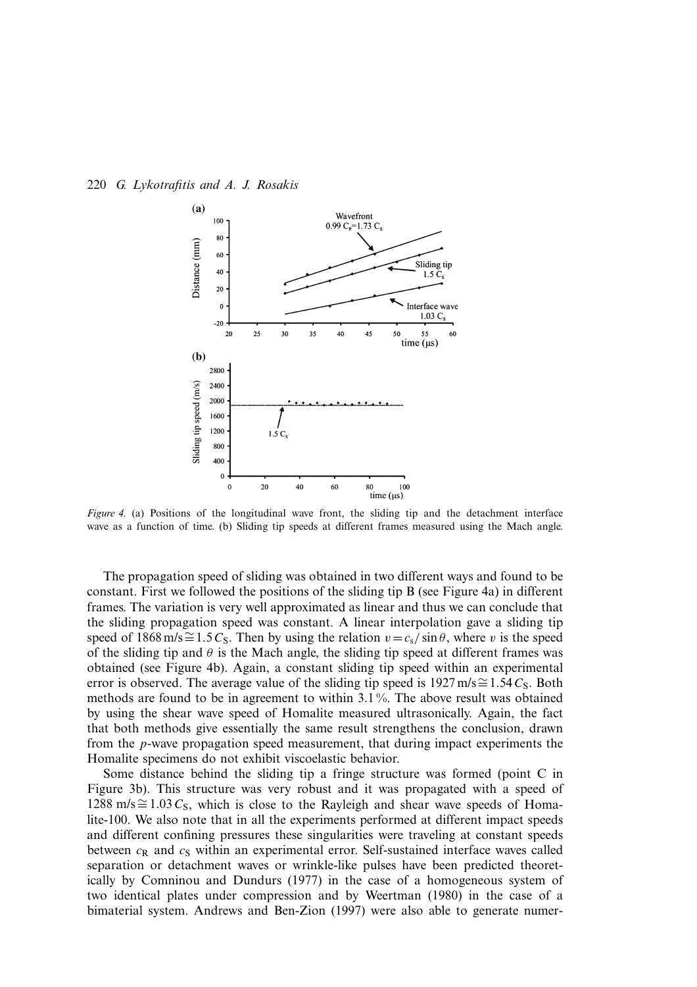

*Figure 4.* (a) Positions of the longitudinal wave front, the sliding tip and the detachment interface wave as a function of time. (b) Sliding tip speeds at different frames measured using the Mach angle.

The propagation speed of sliding was obtained in two different ways and found to be constant. First we followed the positions of the sliding tip B (see Figure 4a) in different frames. The variation is very well approximated as linear and thus we can conclude that the sliding propagation speed was constant. A linear interpolation gave a sliding tip speed of 1868 m/s≅1.5C<sub>S</sub>. Then by using the relation  $v = c_s / \sin \theta$ , where v is the speed of the sliding tip and  $\theta$  is the Mach angle, the sliding tip speed at different frames was obtained (see Figure 4b). Again, a constant sliding tip speed within an experimental error is observed. The average value of the sliding tip speed is 1927 m/s≅1.54 $C_s$ . Both methods are found to be in agreement to within 3.1 %. The above result was obtained by using the shear wave speed of Homalite measured ultrasonically. Again, the fact that both methods give essentially the same result strengthens the conclusion, drawn from the p-wave propagation speed measurement, that during impact experiments the Homalite specimens do not exhibit viscoelastic behavior.

Some distance behind the sliding tip a fringe structure was formed (point C in Figure 3b). This structure was very robust and it was propagated with a speed of 1288 m/s  $\cong$  1.03 C<sub>S</sub>, which is close to the Rayleigh and shear wave speeds of Homalite-100. We also note that in all the experiments performed at different impact speeds and different confining pressures these singularities were traveling at constant speeds between  $c_R$  and  $c_S$  within an experimental error. Self-sustained interface waves called separation or detachment waves or wrinkle-like pulses have been predicted theoretically by Comninou and Dundurs (1977) in the case of a homogeneous system of two identical plates under compression and by Weertman (1980) in the case of a bimaterial system. Andrews and Ben-Zion (1997) were also able to generate numer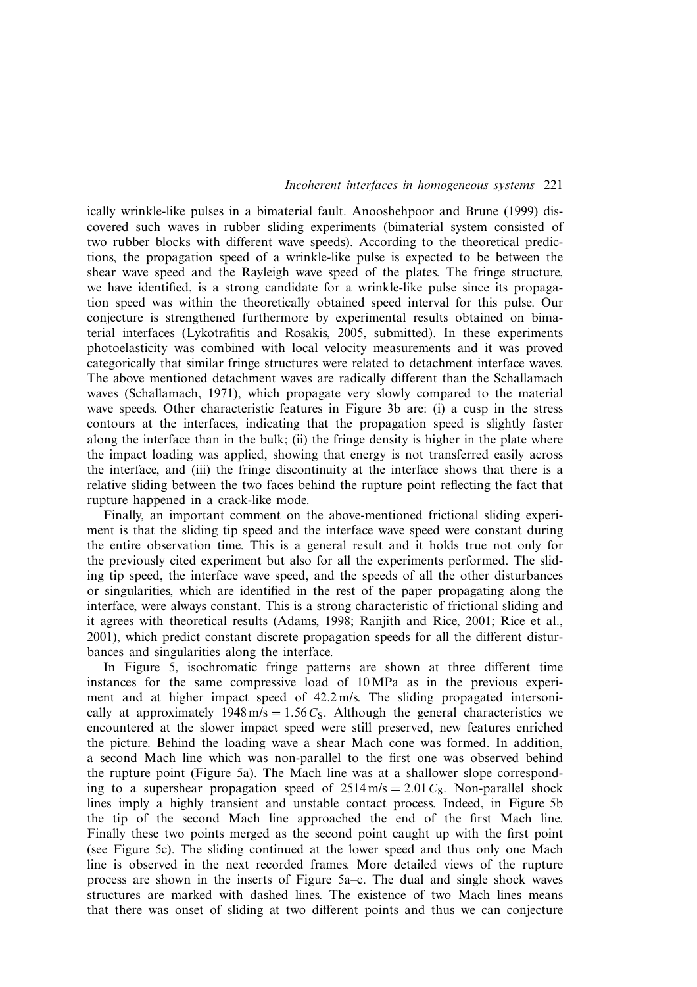ically wrinkle-like pulses in a bimaterial fault. Anooshehpoor and Brune (1999) discovered such waves in rubber sliding experiments (bimaterial system consisted of two rubber blocks with different wave speeds). According to the theoretical predictions, the propagation speed of a wrinkle-like pulse is expected to be between the shear wave speed and the Rayleigh wave speed of the plates. The fringe structure, we have identified, is a strong candidate for a wrinkle-like pulse since its propagation speed was within the theoretically obtained speed interval for this pulse. Our conjecture is strengthened furthermore by experimental results obtained on bimaterial interfaces (Lykotrafitis and Rosakis, 2005, submitted). In these experiments photoelasticity was combined with local velocity measurements and it was proved categorically that similar fringe structures were related to detachment interface waves. The above mentioned detachment waves are radically different than the Schallamach waves (Schallamach, 1971), which propagate very slowly compared to the material wave speeds. Other characteristic features in Figure 3b are: (i) a cusp in the stress contours at the interfaces, indicating that the propagation speed is slightly faster along the interface than in the bulk; (ii) the fringe density is higher in the plate where the impact loading was applied, showing that energy is not transferred easily across the interface, and (iii) the fringe discontinuity at the interface shows that there is a relative sliding between the two faces behind the rupture point reflecting the fact that rupture happened in a crack-like mode.

Finally, an important comment on the above-mentioned frictional sliding experiment is that the sliding tip speed and the interface wave speed were constant during the entire observation time. This is a general result and it holds true not only for the previously cited experiment but also for all the experiments performed. The sliding tip speed, the interface wave speed, and the speeds of all the other disturbances or singularities, which are identified in the rest of the paper propagating along the interface, were always constant. This is a strong characteristic of frictional sliding and it agrees with theoretical results (Adams, 1998; Ranjith and Rice, 2001; Rice et al., 2001), which predict constant discrete propagation speeds for all the different disturbances and singularities along the interface.

In Figure 5, isochromatic fringe patterns are shown at three different time instances for the same compressive load of 10 MPa as in the previous experiment and at higher impact speed of 42.2 m/s. The sliding propagated intersonically at approximately  $1948 \text{ m/s} = 1.56 C_s$ . Although the general characteristics we encountered at the slower impact speed were still preserved, new features enriched the picture. Behind the loading wave a shear Mach cone was formed. In addition, a second Mach line which was non-parallel to the first one was observed behind the rupture point (Figure 5a). The Mach line was at a shallower slope corresponding to a supershear propagation speed of  $2514 \text{ m/s} = 2.01 C_s$ . Non-parallel shock lines imply a highly transient and unstable contact process. Indeed, in Figure 5b the tip of the second Mach line approached the end of the first Mach line. Finally these two points merged as the second point caught up with the first point (see Figure 5c). The sliding continued at the lower speed and thus only one Mach line is observed in the next recorded frames. More detailed views of the rupture process are shown in the inserts of Figure 5a–c. The dual and single shock waves structures are marked with dashed lines. The existence of two Mach lines means that there was onset of sliding at two different points and thus we can conjecture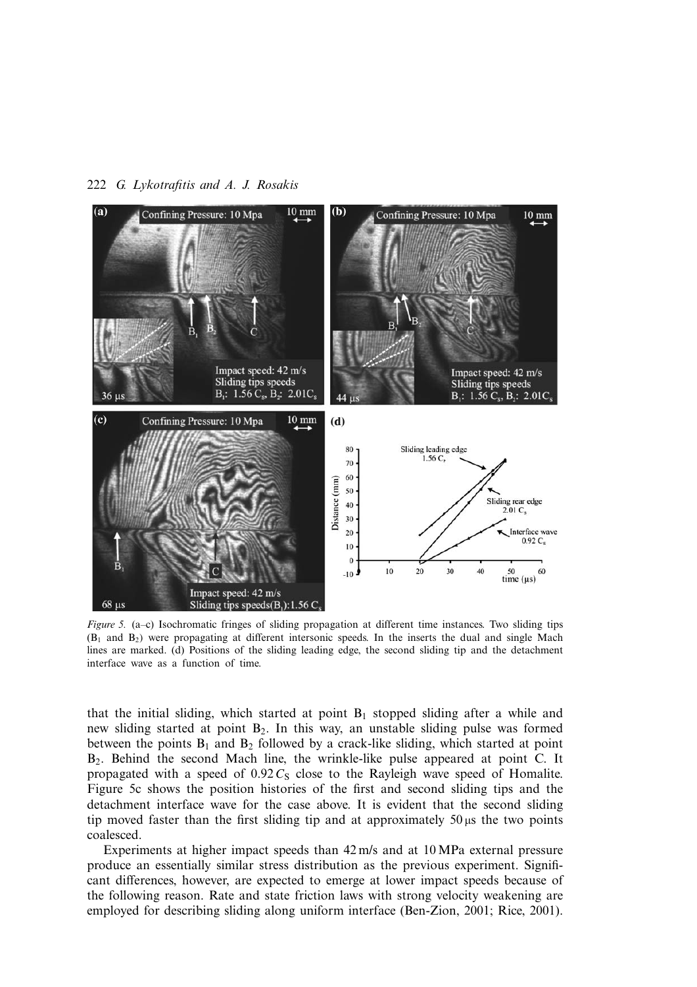

*Figure 5.* (a–c) Isochromatic fringes of sliding propagation at different time instances. Two sliding tips  $(B_1$  and  $B_2$ ) were propagating at different intersonic speeds. In the inserts the dual and single Mach lines are marked. (d) Positions of the sliding leading edge, the second sliding tip and the detachment interface wave as a function of time.

that the initial sliding, which started at point  $B_1$  stopped sliding after a while and new sliding started at point B2. In this way, an unstable sliding pulse was formed between the points  $B_1$  and  $B_2$  followed by a crack-like sliding, which started at point B2. Behind the second Mach line, the wrinkle-like pulse appeared at point C. It propagated with a speed of  $0.92C<sub>S</sub>$  close to the Rayleigh wave speed of Homalite. Figure 5c shows the position histories of the first and second sliding tips and the detachment interface wave for the case above. It is evident that the second sliding tip moved faster than the first sliding tip and at approximately  $50 \mu s$  the two points coalesced.

Experiments at higher impact speeds than 42 m/s and at 10 MPa external pressure produce an essentially similar stress distribution as the previous experiment. Significant differences, however, are expected to emerge at lower impact speeds because of the following reason. Rate and state friction laws with strong velocity weakening are employed for describing sliding along uniform interface (Ben-Zion, 2001; Rice, 2001).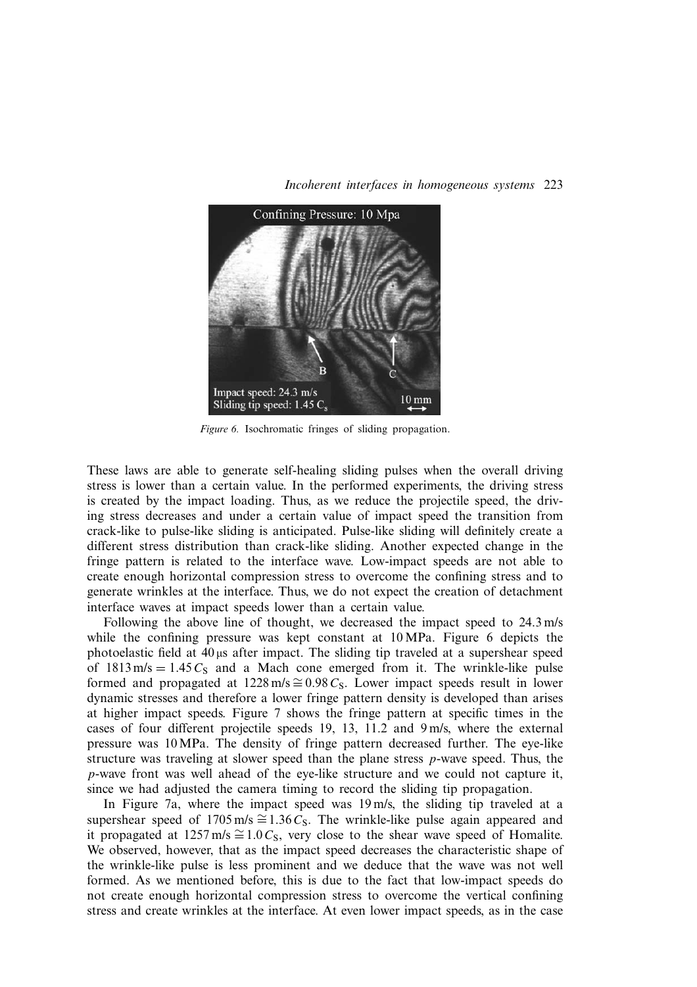

*Figure 6.* Isochromatic fringes of sliding propagation.

These laws are able to generate self-healing sliding pulses when the overall driving stress is lower than a certain value. In the performed experiments, the driving stress is created by the impact loading. Thus, as we reduce the projectile speed, the driving stress decreases and under a certain value of impact speed the transition from crack-like to pulse-like sliding is anticipated. Pulse-like sliding will definitely create a different stress distribution than crack-like sliding. Another expected change in the fringe pattern is related to the interface wave. Low-impact speeds are not able to create enough horizontal compression stress to overcome the confining stress and to generate wrinkles at the interface. Thus, we do not expect the creation of detachment interface waves at impact speeds lower than a certain value.

Following the above line of thought, we decreased the impact speed to 24.3 m/s while the confining pressure was kept constant at 10 MPa. Figure 6 depicts the photoelastic field at  $40 \mu s$  after impact. The sliding tip traveled at a supershear speed of  $1813 \text{ m/s} = 1.45 C<sub>S</sub>$  and a Mach cone emerged from it. The wrinkle-like pulse formed and propagated at 1228 m/s  $\cong 0.98 C_S$ . Lower impact speeds result in lower dynamic stresses and therefore a lower fringe pattern density is developed than arises at higher impact speeds. Figure 7 shows the fringe pattern at specific times in the cases of four different projectile speeds 19, 13, 11.2 and 9 m/s, where the external pressure was 10MPa. The density of fringe pattern decreased further. The eye-like structure was traveling at slower speed than the plane stress p-wave speed. Thus, the p-wave front was well ahead of the eye-like structure and we could not capture it, since we had adjusted the camera timing to record the sliding tip propagation.

In Figure 7a, where the impact speed was 19 m/s, the sliding tip traveled at a supershear speed of 1705 m/s  $\cong$  1.36 C<sub>S</sub>. The wrinkle-like pulse again appeared and it propagated at 1257 m/s  $\cong$ 1.0 $C_s$ , very close to the shear wave speed of Homalite. We observed, however, that as the impact speed decreases the characteristic shape of the wrinkle-like pulse is less prominent and we deduce that the wave was not well formed. As we mentioned before, this is due to the fact that low-impact speeds do not create enough horizontal compression stress to overcome the vertical confining stress and create wrinkles at the interface. At even lower impact speeds, as in the case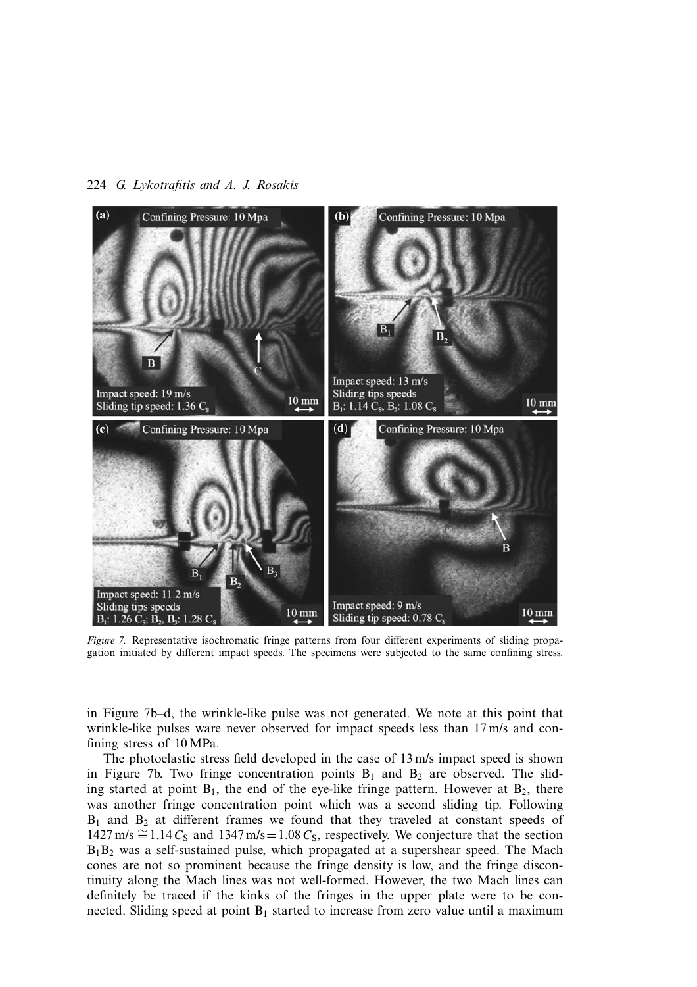

*Figure 7.* Representative isochromatic fringe patterns from four different experiments of sliding propagation initiated by different impact speeds. The specimens were subjected to the same confining stress.

in Figure 7b–d, the wrinkle-like pulse was not generated. We note at this point that wrinkle-like pulses ware never observed for impact speeds less than 17 m/s and confining stress of 10 MPa.

The photoelastic stress field developed in the case of 13 m/s impact speed is shown in Figure 7b. Two fringe concentration points  $B_1$  and  $B_2$  are observed. The sliding started at point  $B_1$ , the end of the eye-like fringe pattern. However at  $B_2$ , there was another fringe concentration point which was a second sliding tip. Following  $B_1$  and  $B_2$  at different frames we found that they traveled at constant speeds of  $1427 \text{ m/s} \approx 1.14 C_S$  and  $1347 \text{ m/s} = 1.08 C_S$ , respectively. We conjecture that the section  $B_1B_2$  was a self-sustained pulse, which propagated at a supershear speed. The Mach cones are not so prominent because the fringe density is low, and the fringe discontinuity along the Mach lines was not well-formed. However, the two Mach lines can definitely be traced if the kinks of the fringes in the upper plate were to be connected. Sliding speed at point  $B_1$  started to increase from zero value until a maximum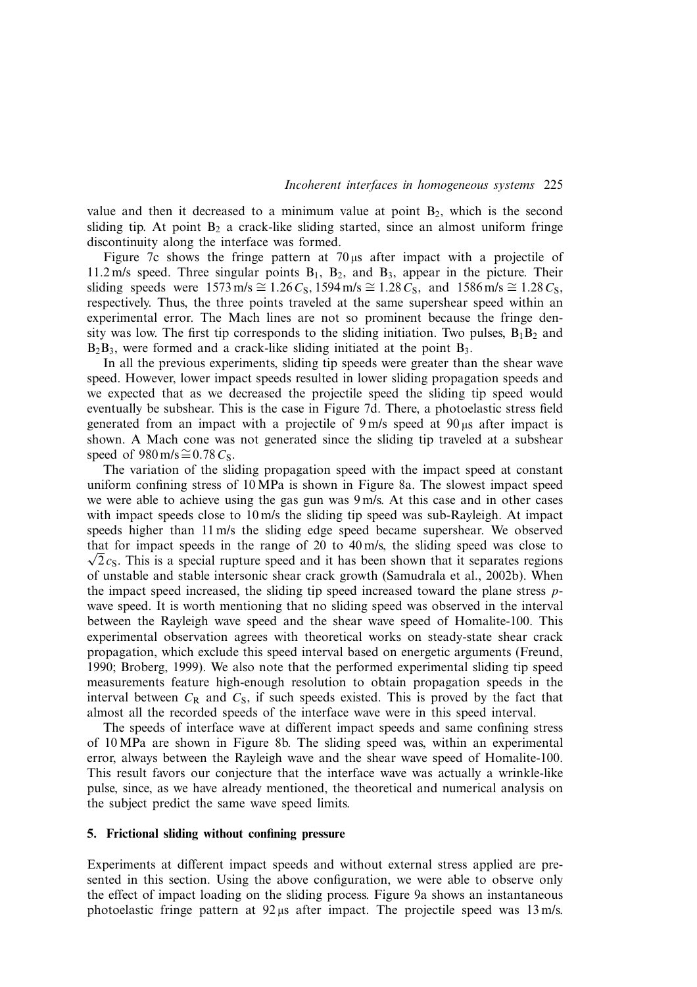value and then it decreased to a minimum value at point  $B_2$ , which is the second sliding tip. At point  $B_2$  a crack-like sliding started, since an almost uniform fringe discontinuity along the interface was formed.

Figure 7c shows the fringe pattern at 70  $\mu$ s after impact with a projectile of 11.2 m/s speed. Three singular points  $B_1$ ,  $B_2$ , and  $B_3$ , appear in the picture. Their sliding speeds were  $1573 \text{ m/s} \cong 1.26 C_S$ ,  $1594 \text{ m/s} \cong 1.28 C_S$ , and  $1586 \text{ m/s} \cong 1.28 C_S$ , respectively. Thus, the three points traveled at the same supershear speed within an experimental error. The Mach lines are not so prominent because the fringe density was low. The first tip corresponds to the sliding initiation. Two pulses,  $B_1B_2$  and  $B_2B_3$ , were formed and a crack-like sliding initiated at the point  $B_3$ .

In all the previous experiments, sliding tip speeds were greater than the shear wave speed. However, lower impact speeds resulted in lower sliding propagation speeds and we expected that as we decreased the projectile speed the sliding tip speed would eventually be subshear. This is the case in Figure 7d. There, a photoelastic stress field generated from an impact with a projectile of  $9 \text{ m/s}$  speed at  $90 \mu s$  after impact is shown. A Mach cone was not generated since the sliding tip traveled at a subshear speed of 980 m/s $\cong$ 0.78 $C_s$ .

The variation of the sliding propagation speed with the impact speed at constant uniform confining stress of 10 MPa is shown in Figure 8a. The slowest impact speed we were able to achieve using the gas gun was 9 m/s. At this case and in other cases with impact speeds close to 10 m/s the sliding tip speed was sub-Rayleigh. At impact speeds higher than 11 m/s the sliding edge speed became supershear. We observed that for impact speeds in the range of 20 to 40 m/s, the sliding speed was close to  $\sqrt{2}c_s$ . This is a special rupture speed and it has been shown that it separates regions of unstable and stable intersonic shear crack growth (Samudrala et al., 2002b). When the impact speed increased, the sliding tip speed increased toward the plane stress pwave speed. It is worth mentioning that no sliding speed was observed in the interval between the Rayleigh wave speed and the shear wave speed of Homalite-100. This experimental observation agrees with theoretical works on steady-state shear crack propagation, which exclude this speed interval based on energetic arguments (Freund, 1990; Broberg, 1999). We also note that the performed experimental sliding tip speed measurements feature high-enough resolution to obtain propagation speeds in the interval between  $C_R$  and  $C_S$ , if such speeds existed. This is proved by the fact that almost all the recorded speeds of the interface wave were in this speed interval.

The speeds of interface wave at different impact speeds and same confining stress of 10 MPa are shown in Figure 8b. The sliding speed was, within an experimental error, always between the Rayleigh wave and the shear wave speed of Homalite-100. This result favors our conjecture that the interface wave was actually a wrinkle-like pulse, since, as we have already mentioned, the theoretical and numerical analysis on the subject predict the same wave speed limits.

## **5. Frictional sliding without confining pressure**

Experiments at different impact speeds and without external stress applied are presented in this section. Using the above configuration, we were able to observe only the effect of impact loading on the sliding process. Figure 9a shows an instantaneous photoelastic fringe pattern at  $92 \mu s$  after impact. The projectile speed was 13 m/s.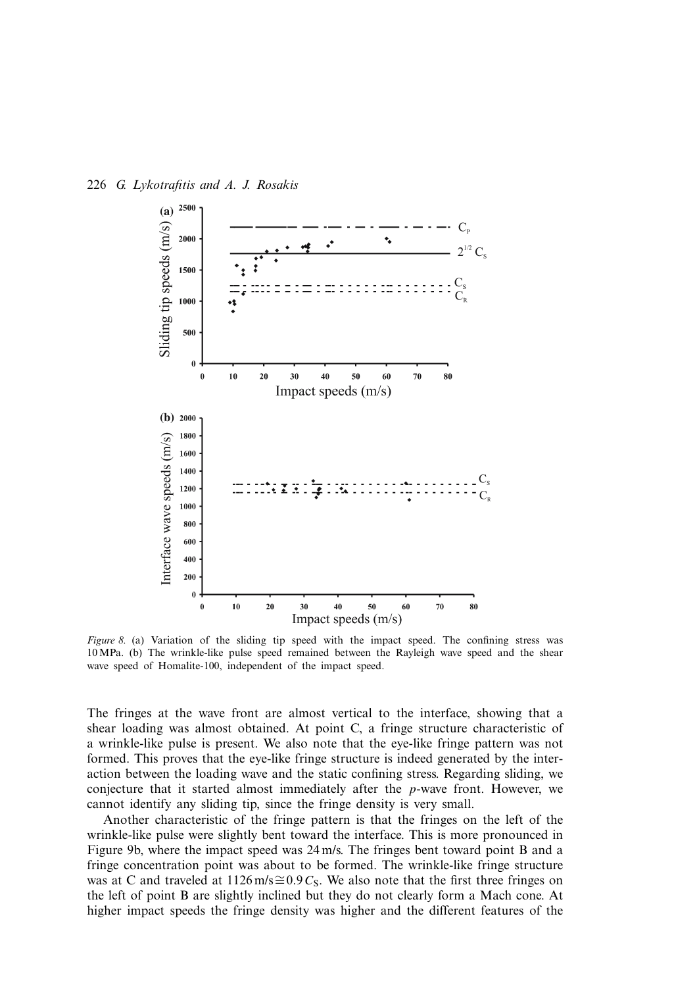

*Figure 8.* (a) Variation of the sliding tip speed with the impact speed. The confining stress was 10 MPa. (b) The wrinkle-like pulse speed remained between the Rayleigh wave speed and the shear wave speed of Homalite-100, independent of the impact speed.

The fringes at the wave front are almost vertical to the interface, showing that a shear loading was almost obtained. At point C, a fringe structure characteristic of a wrinkle-like pulse is present. We also note that the eye-like fringe pattern was not formed. This proves that the eye-like fringe structure is indeed generated by the interaction between the loading wave and the static confining stress. Regarding sliding, we conjecture that it started almost immediately after the p-wave front. However, we cannot identify any sliding tip, since the fringe density is very small.

Another characteristic of the fringe pattern is that the fringes on the left of the wrinkle-like pulse were slightly bent toward the interface. This is more pronounced in Figure 9b, where the impact speed was 24 m/s. The fringes bent toward point B and a fringe concentration point was about to be formed. The wrinkle-like fringe structure was at C and traveled at 1126 m/s≅0.9 C<sub>S</sub>. We also note that the first three fringes on the left of point B are slightly inclined but they do not clearly form a Mach cone. At higher impact speeds the fringe density was higher and the different features of the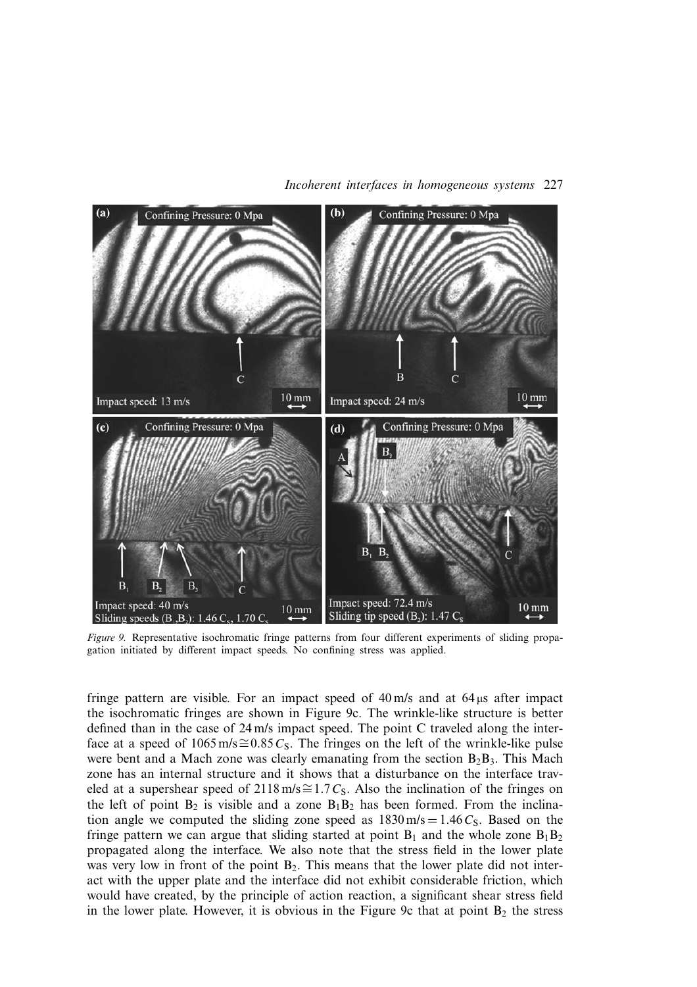

*Incoherent interfaces in homogeneous systems* 227

*Figure 9.* Representative isochromatic fringe patterns from four different experiments of sliding propagation initiated by different impact speeds. No confining stress was applied.

fringe pattern are visible. For an impact speed of  $40 \text{ m/s}$  and at  $64 \mu s$  after impact the isochromatic fringes are shown in Figure 9c. The wrinkle-like structure is better defined than in the case of 24 m/s impact speed. The point C traveled along the interface at a speed of 1065 m/s≅0.85 $C_s$ . The fringes on the left of the wrinkle-like pulse were bent and a Mach zone was clearly emanating from the section  $B_2B_3$ . This Mach zone has an internal structure and it shows that a disturbance on the interface traveled at a supershear speed of 2118 m/s≅1.7 C<sub>S</sub>. Also the inclination of the fringes on the left of point  $B_2$  is visible and a zone  $B_1B_2$  has been formed. From the inclination angle we computed the sliding zone speed as  $1830 \text{ m/s} = 1.46 C_s$ . Based on the fringe pattern we can argue that sliding started at point  $B_1$  and the whole zone  $B_1B_2$ propagated along the interface. We also note that the stress field in the lower plate was very low in front of the point  $B_2$ . This means that the lower plate did not interact with the upper plate and the interface did not exhibit considerable friction, which would have created, by the principle of action reaction, a significant shear stress field in the lower plate. However, it is obvious in the Figure 9c that at point  $B_2$  the stress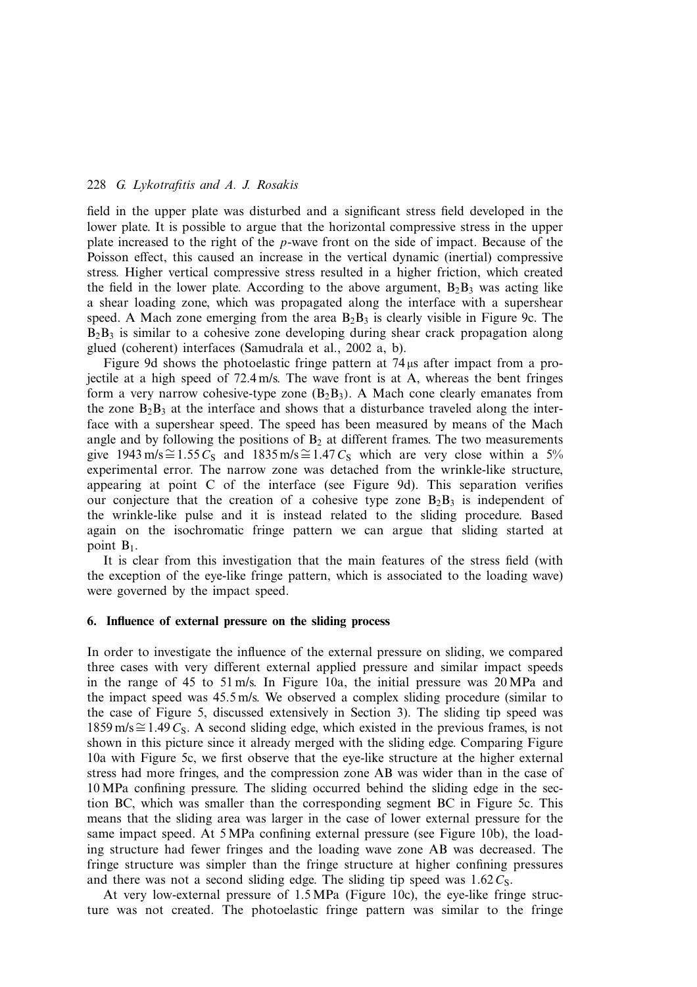field in the upper plate was disturbed and a significant stress field developed in the lower plate. It is possible to argue that the horizontal compressive stress in the upper plate increased to the right of the p-wave front on the side of impact. Because of the Poisson effect, this caused an increase in the vertical dynamic (inertial) compressive stress. Higher vertical compressive stress resulted in a higher friction, which created the field in the lower plate. According to the above argument,  $B_2B_3$  was acting like a shear loading zone, which was propagated along the interface with a supershear speed. A Mach zone emerging from the area  $B_2B_3$  is clearly visible in Figure 9c. The  $B_2B_3$  is similar to a cohesive zone developing during shear crack propagation along glued (coherent) interfaces (Samudrala et al., 2002 a, b).

Figure 9d shows the photoelastic fringe pattern at  $74 \mu s$  after impact from a projectile at a high speed of 72.4 m/s. The wave front is at A, whereas the bent fringes form a very narrow cohesive-type zone  $(B_2B_3)$ . A Mach cone clearly emanates from the zone  $B_2B_3$  at the interface and shows that a disturbance traveled along the interface with a supershear speed. The speed has been measured by means of the Mach angle and by following the positions of  $B<sub>2</sub>$  at different frames. The two measurements give 1943 m/s≅1.55 C<sub>S</sub> and 1835 m/s≅1.47 C<sub>S</sub> which are very close within a 5% experimental error. The narrow zone was detached from the wrinkle-like structure, appearing at point C of the interface (see Figure 9d). This separation verifies our conjecture that the creation of a cohesive type zone  $B_2B_3$  is independent of the wrinkle-like pulse and it is instead related to the sliding procedure. Based again on the isochromatic fringe pattern we can argue that sliding started at point  $B_1$ .

It is clear from this investigation that the main features of the stress field (with the exception of the eye-like fringe pattern, which is associated to the loading wave) were governed by the impact speed.

## **6. Influence of external pressure on the sliding process**

In order to investigate the influence of the external pressure on sliding, we compared three cases with very different external applied pressure and similar impact speeds in the range of 45 to 51 m/s. In Figure 10a, the initial pressure was 20 MPa and the impact speed was 45.5 m/s. We observed a complex sliding procedure (similar to the case of Figure 5, discussed extensively in Section 3). The sliding tip speed was  $1859 \text{ m/s} \approx 1.49 C_S$ . A second sliding edge, which existed in the previous frames, is not shown in this picture since it already merged with the sliding edge. Comparing Figure 10a with Figure 5c, we first observe that the eye-like structure at the higher external stress had more fringes, and the compression zone AB was wider than in the case of 10 MPa confining pressure. The sliding occurred behind the sliding edge in the section BC, which was smaller than the corresponding segment BC in Figure 5c. This means that the sliding area was larger in the case of lower external pressure for the same impact speed. At 5 MPa confining external pressure (see Figure 10b), the loading structure had fewer fringes and the loading wave zone AB was decreased. The fringe structure was simpler than the fringe structure at higher confining pressures and there was not a second sliding edge. The sliding tip speed was  $1.62 C<sub>S</sub>$ .

At very low-external pressure of 1.5 MPa (Figure 10c), the eye-like fringe structure was not created. The photoelastic fringe pattern was similar to the fringe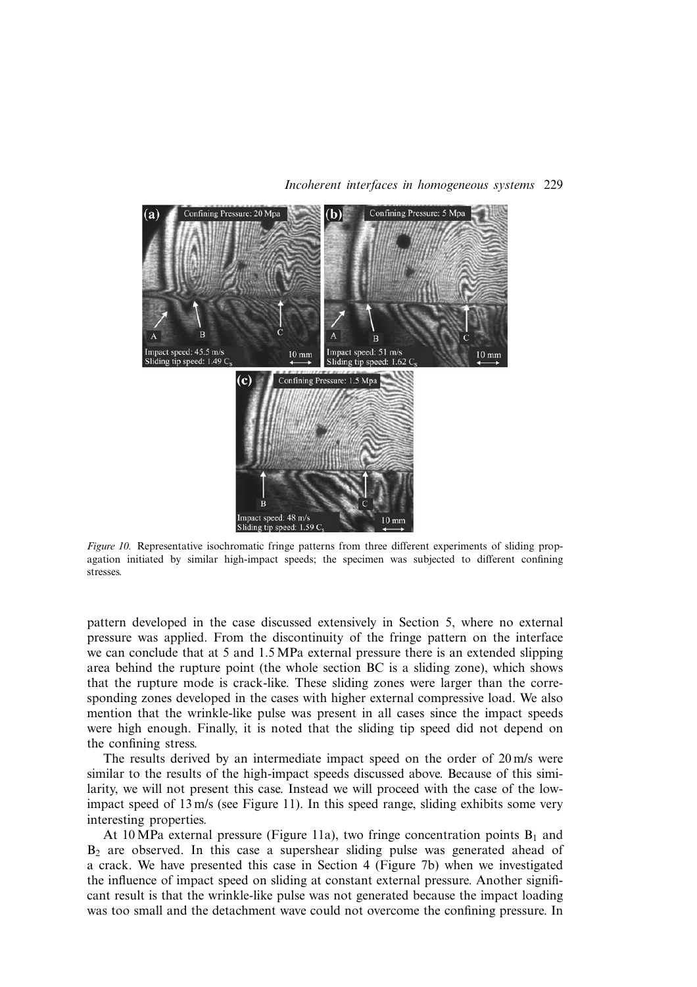

*Figure 10.* Representative isochromatic fringe patterns from three different experiments of sliding propagation initiated by similar high-impact speeds; the specimen was subjected to different confining stresses.

pattern developed in the case discussed extensively in Section 5, where no external pressure was applied. From the discontinuity of the fringe pattern on the interface we can conclude that at 5 and 1.5 MPa external pressure there is an extended slipping area behind the rupture point (the whole section BC is a sliding zone), which shows that the rupture mode is crack-like. These sliding zones were larger than the corresponding zones developed in the cases with higher external compressive load. We also mention that the wrinkle-like pulse was present in all cases since the impact speeds were high enough. Finally, it is noted that the sliding tip speed did not depend on the confining stress.

The results derived by an intermediate impact speed on the order of 20 m/s were similar to the results of the high-impact speeds discussed above. Because of this similarity, we will not present this case. Instead we will proceed with the case of the lowimpact speed of 13 m/s (see Figure 11). In this speed range, sliding exhibits some very interesting properties.

At 10 MPa external pressure (Figure 11a), two fringe concentration points  $B_1$  and  $B<sub>2</sub>$  are observed. In this case a supershear sliding pulse was generated ahead of a crack. We have presented this case in Section 4 (Figure 7b) when we investigated the influence of impact speed on sliding at constant external pressure. Another significant result is that the wrinkle-like pulse was not generated because the impact loading was too small and the detachment wave could not overcome the confining pressure. In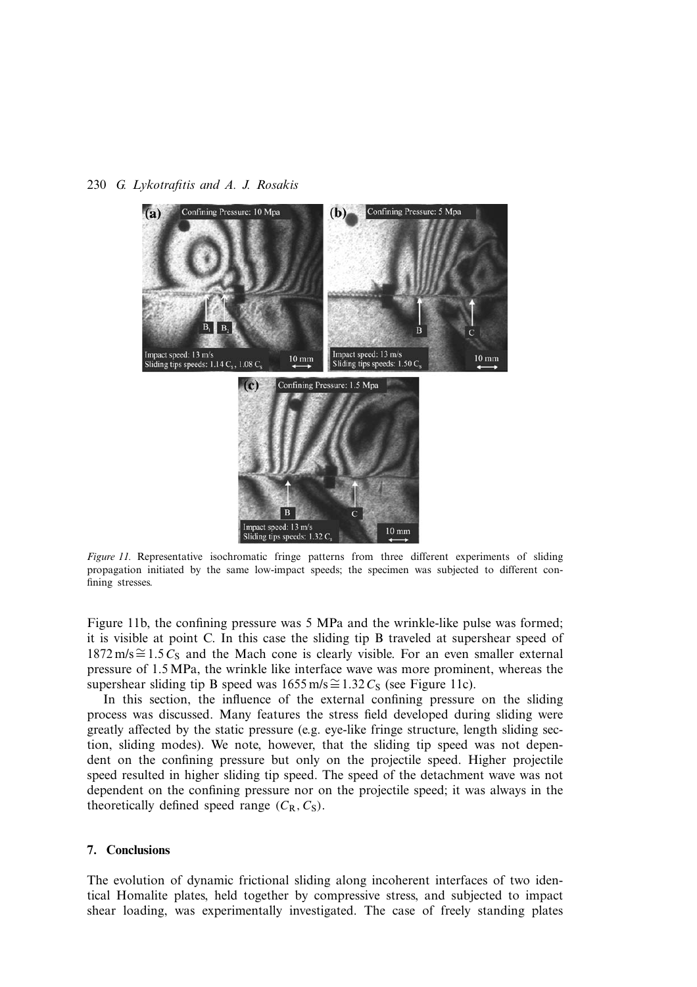

*Figure 11.* Representative isochromatic fringe patterns from three different experiments of sliding propagation initiated by the same low-impact speeds; the specimen was subjected to different confining stresses.

Figure 11b, the confining pressure was 5 MPa and the wrinkle-like pulse was formed; it is visible at point C. In this case the sliding tip B traveled at supershear speed of  $1872 \text{ m/s} \approx 1.5 C_s$  and the Mach cone is clearly visible. For an even smaller external pressure of 1.5 MPa, the wrinkle like interface wave was more prominent, whereas the supershear sliding tip B speed was  $1655 \text{ m/s} \cong 1.32 C_S$  (see Figure 11c).

In this section, the influence of the external confining pressure on the sliding process was discussed. Many features the stress field developed during sliding were greatly affected by the static pressure (e.g. eye-like fringe structure, length sliding section, sliding modes). We note, however, that the sliding tip speed was not dependent on the confining pressure but only on the projectile speed. Higher projectile speed resulted in higher sliding tip speed. The speed of the detachment wave was not dependent on the confining pressure nor on the projectile speed; it was always in the theoretically defined speed range  $(C_R, C_S)$ .

## **7. Conclusions**

The evolution of dynamic frictional sliding along incoherent interfaces of two identical Homalite plates, held together by compressive stress, and subjected to impact shear loading, was experimentally investigated. The case of freely standing plates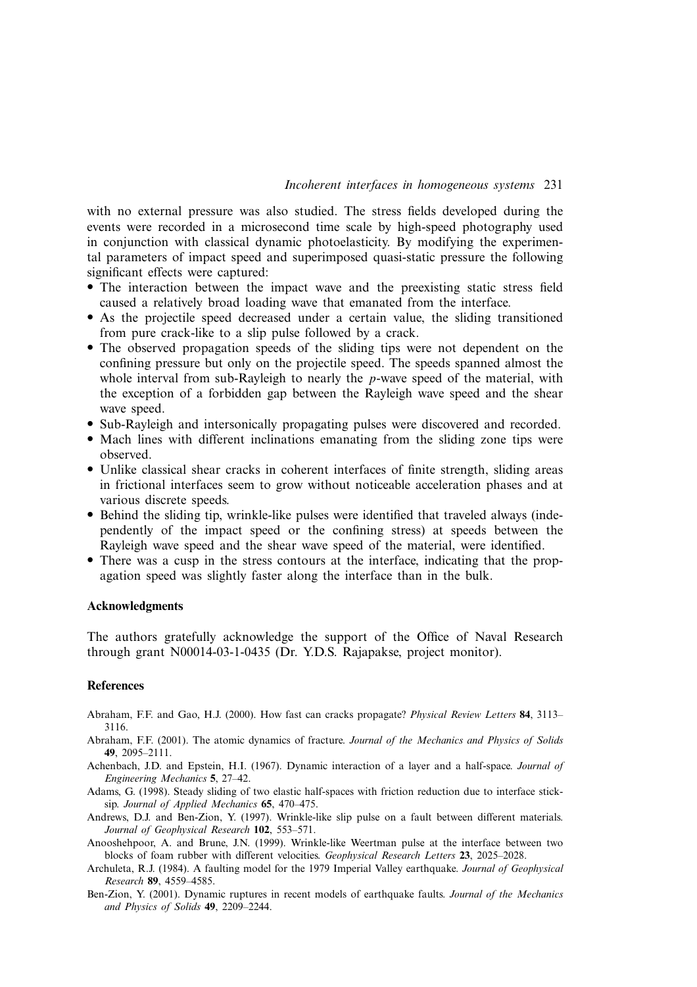with no external pressure was also studied. The stress fields developed during the events were recorded in a microsecond time scale by high-speed photography used in conjunction with classical dynamic photoelasticity. By modifying the experimental parameters of impact speed and superimposed quasi-static pressure the following significant effects were captured:

- The interaction between the impact wave and the preexisting static stress field caused a relatively broad loading wave that emanated from the interface.
- As the projectile speed decreased under a certain value, the sliding transitioned from pure crack-like to a slip pulse followed by a crack.
- The observed propagation speeds of the sliding tips were not dependent on the confining pressure but only on the projectile speed. The speeds spanned almost the whole interval from sub-Rayleigh to nearly the *p*-wave speed of the material, with the exception of a forbidden gap between the Rayleigh wave speed and the shear wave speed.
- Sub-Rayleigh and intersonically propagating pulses were discovered and recorded.
- Mach lines with different inclinations emanating from the sliding zone tips were observed.
- Unlike classical shear cracks in coherent interfaces of finite strength, sliding areas in frictional interfaces seem to grow without noticeable acceleration phases and at various discrete speeds.
- Behind the sliding tip, wrinkle-like pulses were identified that traveled always (independently of the impact speed or the confining stress) at speeds between the Rayleigh wave speed and the shear wave speed of the material, were identified.
- There was a cusp in the stress contours at the interface, indicating that the propagation speed was slightly faster along the interface than in the bulk.

## **Acknowledgments**

The authors gratefully acknowledge the support of the Office of Naval Research through grant N00014-03-1-0435 (Dr. Y.D.S. Rajapakse, project monitor).

#### **References**

- Abraham, F.F. and Gao, H.J. (2000). How fast can cracks propagate? *Physical Review Letters* **84**, 3113– 3116.
- Abraham, F.F. (2001). The atomic dynamics of fracture. *Journal of the Mechanics and Physics of Solids* **49**, 2095–2111.
- Achenbach, J.D. and Epstein, H.I. (1967). Dynamic interaction of a layer and a half-space. *Journal of Engineering Mechanics* **5**, 27–42.
- Adams, G. (1998). Steady sliding of two elastic half-spaces with friction reduction due to interface sticksip. *Journal of Applied Mechanics* **65**, 470–475.
- Andrews, D.J. and Ben-Zion, Y. (1997). Wrinkle-like slip pulse on a fault between different materials. *Journal of Geophysical Research* **102**, 553–571.
- Anooshehpoor, A. and Brune, J.N. (1999). Wrinkle-like Weertman pulse at the interface between two blocks of foam rubber with different velocities. *Geophysical Research Letters* **23**, 2025–2028.
- Archuleta, R.J. (1984). A faulting model for the 1979 Imperial Valley earthquake. *Journal of Geophysical Research* **89**, 4559–4585.
- Ben-Zion, Y. (2001). Dynamic ruptures in recent models of earthquake faults. *Journal of the Mechanics and Physics of Solids* **49**, 2209–2244.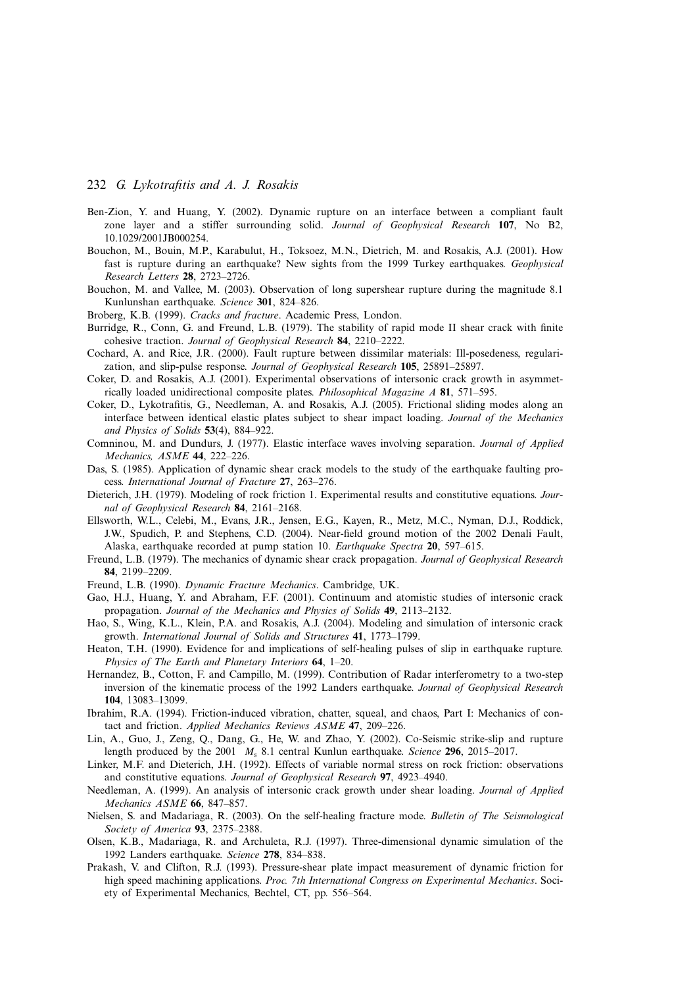- Ben-Zion, Y. and Huang, Y. (2002). Dynamic rupture on an interface between a compliant fault zone layer and a stiffer surrounding solid. *Journal of Geophysical Research* **107**, No B2, 10.1029/2001JB000254.
- Bouchon, M., Bouin, M.P., Karabulut, H., Toksoez, M.N., Dietrich, M. and Rosakis, A.J. (2001). How fast is rupture during an earthquake? New sights from the 1999 Turkey earthquakes. *Geophysical Research Letters* **28**, 2723–2726.
- Bouchon, M. and Vallee, M. (2003). Observation of long supershear rupture during the magnitude 8.1 Kunlunshan earthquake. *Science* **301**, 824–826.
- Broberg, K.B. (1999). *Cracks and fracture*. Academic Press, London.
- Burridge, R., Conn, G. and Freund, L.B. (1979). The stability of rapid mode II shear crack with finite cohesive traction. *Journal of Geophysical Research* **84**, 2210–2222.
- Cochard, A. and Rice, J.R. (2000). Fault rupture between dissimilar materials: Ill-posedeness, regularization, and slip-pulse response. *Journal of Geophysical Research* **105**, 25891–25897.
- Coker, D. and Rosakis, A.J. (2001). Experimental observations of intersonic crack growth in asymmetrically loaded unidirectional composite plates. *Philosophical Magazine A* **81**, 571–595.
- Coker, D., Lykotrafitis, G., Needleman, A. and Rosakis, A.J. (2005). Frictional sliding modes along an interface between identical elastic plates subject to shear impact loading. *Journal of the Mechanics and Physics of Solids* **53**(4), 884–922.
- Comninou, M. and Dundurs, J. (1977). Elastic interface waves involving separation. *Journal of Applied Mechanics, ASME* **44**, 222–226.
- Das, S. (1985). Application of dynamic shear crack models to the study of the earthquake faulting process. *International Journal of Fracture* **27**, 263–276.
- Dieterich, J.H. (1979). Modeling of rock friction 1. Experimental results and constitutive equations. *Journal of Geophysical Research* **84**, 2161–2168.
- Ellsworth, W.L., Celebi, M., Evans, J.R., Jensen, E.G., Kayen, R., Metz, M.C., Nyman, D.J., Roddick, J.W., Spudich, P. and Stephens, C.D. (2004). Near-field ground motion of the 2002 Denali Fault, Alaska, earthquake recorded at pump station 10. *Earthquake Spectra* **20**, 597–615.
- Freund, L.B. (1979). The mechanics of dynamic shear crack propagation. *Journal of Geophysical Research* **84**, 2199–2209.
- Freund, L.B. (1990). *Dynamic Fracture Mechanics*. Cambridge, UK.
- Gao, H.J., Huang, Y. and Abraham, F.F. (2001). Continuum and atomistic studies of intersonic crack propagation. *Journal of the Mechanics and Physics of Solids* **49**, 2113–2132.
- Hao, S., Wing, K.L., Klein, P.A. and Rosakis, A.J. (2004). Modeling and simulation of intersonic crack growth. *International Journal of Solids and Structures* **41**, 1773–1799.
- Heaton, T.H. (1990). Evidence for and implications of self-healing pulses of slip in earthquake rupture. *Physics of The Earth and Planetary Interiors* **64**, 1–20.
- Hernandez, B., Cotton, F. and Campillo, M. (1999). Contribution of Radar interferometry to a two-step inversion of the kinematic process of the 1992 Landers earthquake. *Journal of Geophysical Research* **104**, 13083–13099.
- Ibrahim, R.A. (1994). Friction-induced vibration, chatter, squeal, and chaos, Part I: Mechanics of contact and friction. *Applied Mechanics Reviews ASME* **47**, 209–226.
- Lin, A., Guo, J., Zeng, Q., Dang, G., He, W. and Zhao, Y. (2002). Co-Seismic strike-slip and rupture length produced by the 2001  $M_s$  8.1 central Kunlun earthquake. *Science* 296, 2015–2017.
- Linker, M.F. and Dieterich, J.H. (1992). Effects of variable normal stress on rock friction: observations and constitutive equations. *Journal of Geophysical Research* **97**, 4923–4940.
- Needleman, A. (1999). An analysis of intersonic crack growth under shear loading. *Journal of Applied Mechanics ASME* **66**, 847–857.
- Nielsen, S. and Madariaga, R. (2003). On the self-healing fracture mode. *Bulletin of The Seismological Society of America* **93**, 2375–2388.
- Olsen, K.B., Madariaga, R. and Archuleta, R.J. (1997). Three-dimensional dynamic simulation of the 1992 Landers earthquake. *Science* **278**, 834–838.
- Prakash, V. and Clifton, R.J. (1993). Pressure-shear plate impact measurement of dynamic friction for high speed machining applications. *Proc. 7th International Congress on Experimental Mechanics*. Society of Experimental Mechanics, Bechtel, CT, pp. 556–564.